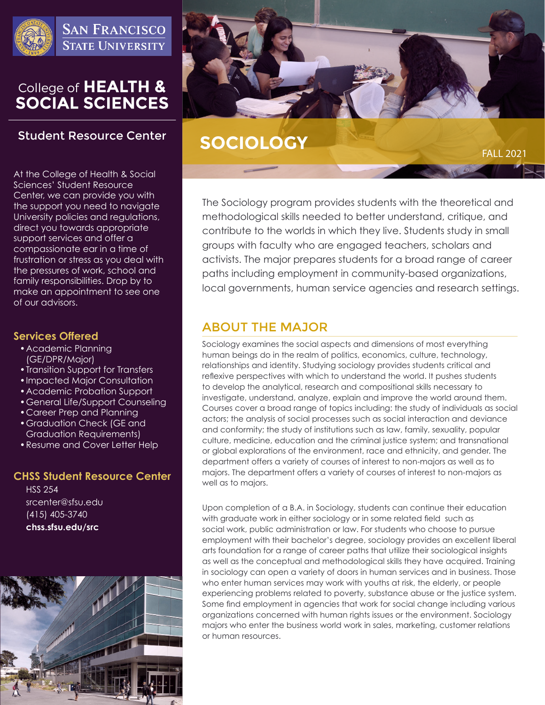

**SAN FRANCISCO STATE UNIVERSITY** 

# College of HEALTH &<br>SOCIAL SCIENCES

# **Student Resource Center**

At the College of Health & Social Sciences' Student Resource Center, we can provide you with the support you need to navigate University policies and regulations, direct you towards appropriate support services and offer a compassionate ear in a time of frustration or stress as you deal with the pressures of work, school and family responsibilities. Drop by to make an appointment to see one of our advisors.

## **Services Offered**

- •Academic Planning (GE/DPR/Major)
- •Transition Support for Transfers
- •Impacted Major Consultation
- •Academic Probation Support
- •General Life/Support Counseling
- •Career Prep and Planning
- •Graduation Check (GE and Graduation Requirements)
- •Resume and Cover Letter Help

## **CHSS Student Resource Center**

HSS 254 srcenter@sfsu.edu (415) 405-3740 **chss.sfsu.edu/src**





# **SOCIOLOGY**

FALL 2021

The Sociology program provides students with the theoretical and methodological skills needed to better understand, critique, and contribute to the worlds in which they live. Students study in small groups with faculty who are engaged teachers, scholars and activists. The major prepares students for a broad range of career paths including employment in community-based organizations, local governments, human service agencies and research settings.

# ABOUT THE MAJOR

Sociology examines the social aspects and dimensions of most everything human beings do in the realm of politics, economics, culture, technology, relationships and identity. Studying sociology provides students critical and reflexive perspectives with which to understand the world. It pushes students to develop the analytical, research and compositional skills necessary to investigate, understand, analyze, explain and improve the world around them. Courses cover a broad range of topics including: the study of individuals as social actors; the analysis of social processes such as social interaction and deviance and conformity; the study of institutions such as law, family, sexuality, popular culture, medicine, education and the criminal justice system; and transnational or global explorations of the environment, race and ethnicity, and gender. The department offers a variety of courses of interest to non-majors as well as to majors. The department offers a variety of courses of interest to non-majors as well as to majors.

Upon completion of a B.A. in Sociology, students can continue their education with graduate work in either sociology or in some related field such as social work, public administration or law. For students who choose to pursue employment with their bachelor's degree, sociology provides an excellent liberal arts foundation for a range of career paths that utilize their sociological insights as well as the conceptual and methodological skills they have acquired. Training in sociology can open a variety of doors in human services and in business. Those who enter human services may work with youths at risk, the elderly, or people experiencing problems related to poverty, substance abuse or the justice system. Some find employment in agencies that work for social change including various organizations concerned with human rights issues or the environment. Sociology majors who enter the business world work in sales, marketing, customer relations or human resources.